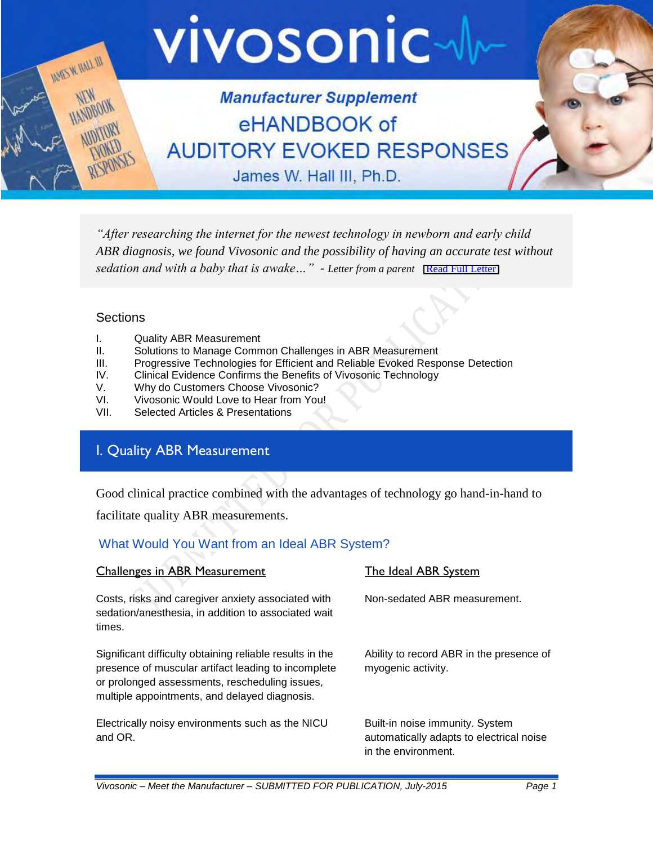

*"After researching the internet for the newest technology in newborn and early child ABR diagnosis, we found Vivosonic and the possibility of having an accurate test without sedation and with a baby that is awake...*" - *Letter from a parent* [\[Read Full Letter\]](https://vivosonic.com/wp-content/uploads/2017/10/Vivosonic-thank-you-letter.pdf)

### **Sections**

- I. Quality ABR Measurement
- II. Solutions to Manage Common Challenges in ABR Measurement
- III. Progressive Technologies for Efficient and Reliable Evoked Response Detection
- IV. Clinical Evidence Confirms the Benefits of Vivosonic Technology<br>V. Why do Customers Choose Vivosonic?
- V. Why do Customers Choose Vivosonic?<br>VI. Vivosonic Would Love to Hear from You
- Vivosonic Would Love to Hear from You!
- VII. Selected Articles & Presentations

## I. Quality ABR Measurement

Good clinical practice combined with the advantages of technology go hand-in-hand to

facilitate quality ABR measurements.

### What Would You Want from an Ideal ABR System?

| <b>Challenges in ABR Measurement</b>                                                                                                                                                                               | The Ideal ABR System                                                                               |
|--------------------------------------------------------------------------------------------------------------------------------------------------------------------------------------------------------------------|----------------------------------------------------------------------------------------------------|
| Costs, risks and caregiver anxiety associated with<br>sedation/anesthesia, in addition to associated wait<br>times.                                                                                                | Non-sedated ABR measurement.                                                                       |
| Significant difficulty obtaining reliable results in the<br>presence of muscular artifact leading to incomplete<br>or prolonged assessments, rescheduling issues,<br>multiple appointments, and delayed diagnosis. | Ability to record ABR in the presence of<br>myogenic activity.                                     |
| Electrically noisy environments such as the NICU<br>and OR.                                                                                                                                                        | Built-in noise immunity. System<br>automatically adapts to electrical noise<br>in the environment. |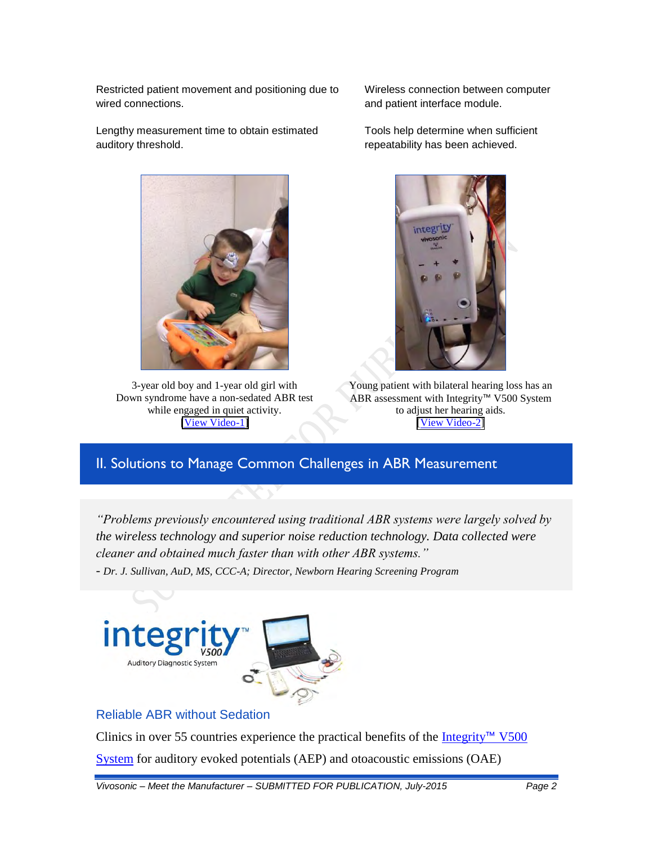Restricted patient movement and positioning due to wired connections.

Lengthy measurement time to obtain estimated auditory threshold.



3-year old boy and 1-year old girl with Down syndrome have a non-sedated ABR test while engaged in quiet activity. [\[View Video-1\]](http://www.andreialot.com.br/videos.php)

Wireless connection between computer and patient interface module.

Tools help determine when sufficient repeatability has been achieved.



Young patient with bilateral hearing loss has an ABR assessment with Integrity™ V500 System to adjust her hearing aids. [\[](http://www.andreialot.com.br/videos.php)[View Video-2](http://www.vivosonic.com/jay-hall-ehandbook.html#SectionI)[\]](http://www.andreialot.com.br/videos.php)

# II. Solutions to Manage Common Challenges in ABR Measurement

*"Problems previously encountered using traditional ABR systems were largely solved by the wireless technology and superior noise reduction technology. Data collected were cleaner and obtained much faster than with other ABR systems." - Dr. J. Sullivan, AuD, MS, CCC-A; Director, Newborn Hearing Screening Program*



## Reliable ABR without Sedation

Clinics in over 55 countries experience the practical benefits of the [Integrity](http://www.vivosonic.com/integrity-v500-system/)<sup>™</sup> V500 [System](http://www.vivosonic.com/integrity-v500-system/) for auditory evoked potentials (AEP) and otoacoustic emissions (OAE)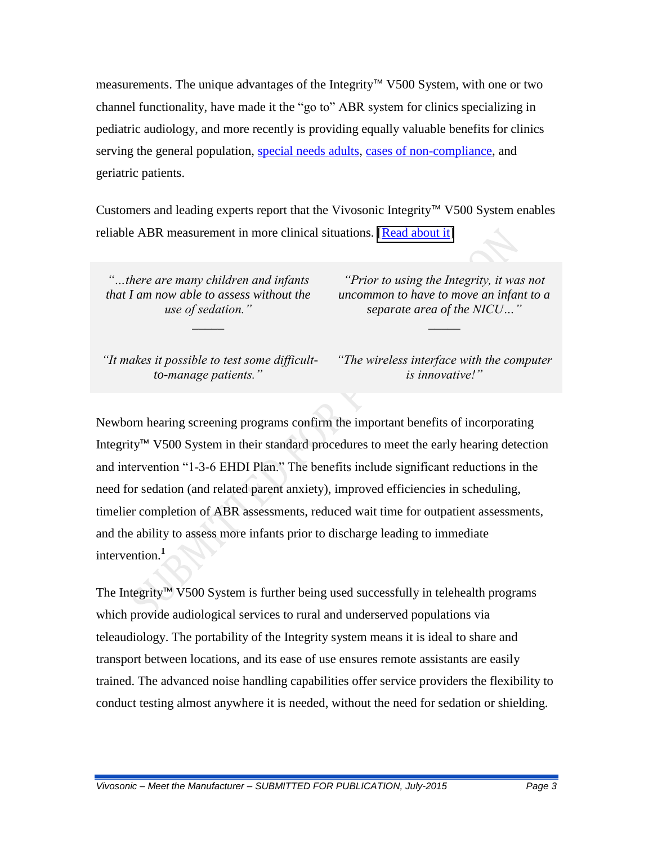measurements. The unique advantages of the Integrity™ V500 System, with one or two channel functionality, have made it the "go to" ABR system for clinics specializing in pediatric audiology, and more recently is providing equally valuable benefits for clinics serving the general population, [special needs adults,](http://www.vivosonic.com/success-stories.html) [cases of non-compliance,](http://www.vivosonic.com/articles-technology.html) and geriatric patients.

Customers and leading experts report that the Vivosonic Integrity™ V500 System enables reliable ABR measurement in more clinical situations. [\[Read about it\]](https://vivosonic.com/wp-content/uploads/2017/10/Integrity-Reliable-ABR.pdf)

*"…there are many children and infants that I am now able to assess without the use of sedation."*

*\_\_\_\_\_*

*"Prior to using the Integrity, it was not uncommon to have to move an infant to a separate area of the NICU…"*

*\_\_\_\_\_*

*"It makes it possible to test some difficultto-manage patients."*

*"The wireless interface with the computer is innovative!"*

Newborn hearing screening programs confirm the important benefits of incorporating Integrity™ V500 System in their standard procedures to meet the early hearing detection and intervention "1-3-6 EHDI Plan." The benefits include significant reductions in the need for sedation (and related parent anxiety), improved efficiencies in scheduling, timelier completion of ABR assessments, reduced wait time for outpatient assessments, and the ability to assess more infants prior to discharge leading to immediate intervention.**<sup>1</sup>**

The Integrity™ V500 System is further being used successfully in telehealth programs which provide audiological services to rural and underserved populations via teleaudiology. The portability of the Integrity system means it is ideal to share and transport between locations, and its ease of use ensures remote assistants are easily trained. The advanced noise handling capabilities offer service providers the flexibility to conduct testing almost anywhere it is needed, without the need for sedation or shielding.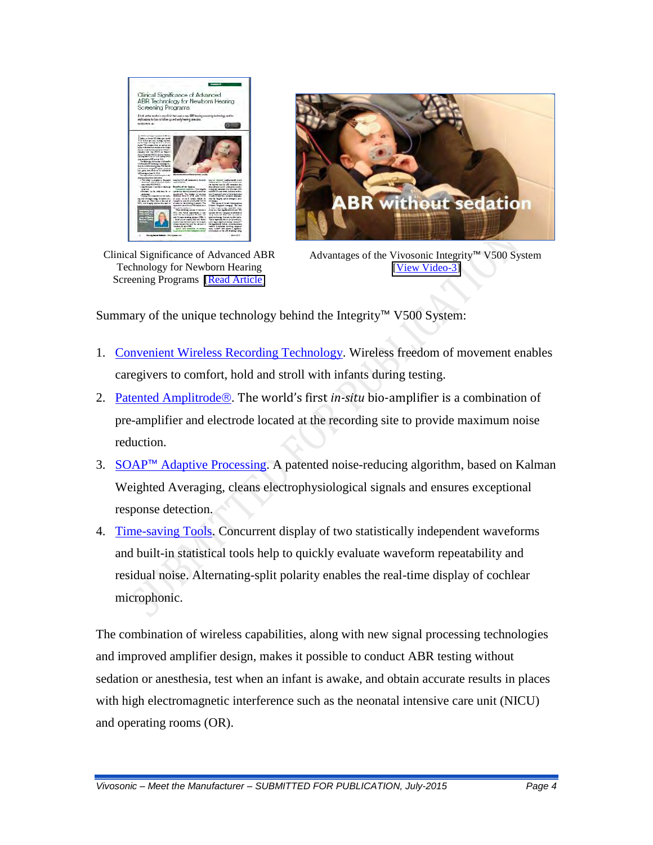

Clinical Significance of Advanced ABR Technology for Newborn Hearing Screening Programs [\[Read Article\]](https://vivosonic.com/wp-content/uploads/2017/08/2012_Walker_Clinical-Significance-of-Advanced-ABR-Technology.pdf)



Advantages of the Vivosonic Integrity™ V500 System [\[View Video-3\]](https://youtu.be/8zJIDIZ_Ocg)

Summary of the unique technology behind the Integrity™ V500 System:

- 1. [Convenient Wireless Recording Technology.](http://www.vivosonic.com/advanced-technologies.html) Wireless freedom of movement enables caregivers to comfort, hold and stroll with infants during testing.
- 2. [Patented Amplitrode](http://www.vivosonic.com/advanced-technologies.html)<sup>®</sup>. The world's first *in-situ* bio-amplifier is a combination of pre-amplifier and electrode located at the recording site to provide maximum noise reduction.
- 3. SOAP™ [Adaptive Processing.](http://www.vivosonic.com/advanced-technologies.html) A patented noise-reducing algorithm, based on Kalman Weighted Averaging, cleans electrophysiological signals and ensures exceptional response detection.
- 4. [Time-saving Tools.](http://www.vivosonic.com/advanced-technologies.html) Concurrent display of two statistically independent waveforms and built-in statistical tools help to quickly evaluate waveform repeatability and residual noise. Alternating-split polarity enables the real-time display of cochlear microphonic.

The combination of wireless capabilities, along with new signal processing technologies and improved amplifier design, makes it possible to conduct ABR testing without sedation or anesthesia, test when an infant is awake, and obtain accurate results in places with high electromagnetic interference such as the neonatal intensive care unit (NICU) and operating rooms (OR).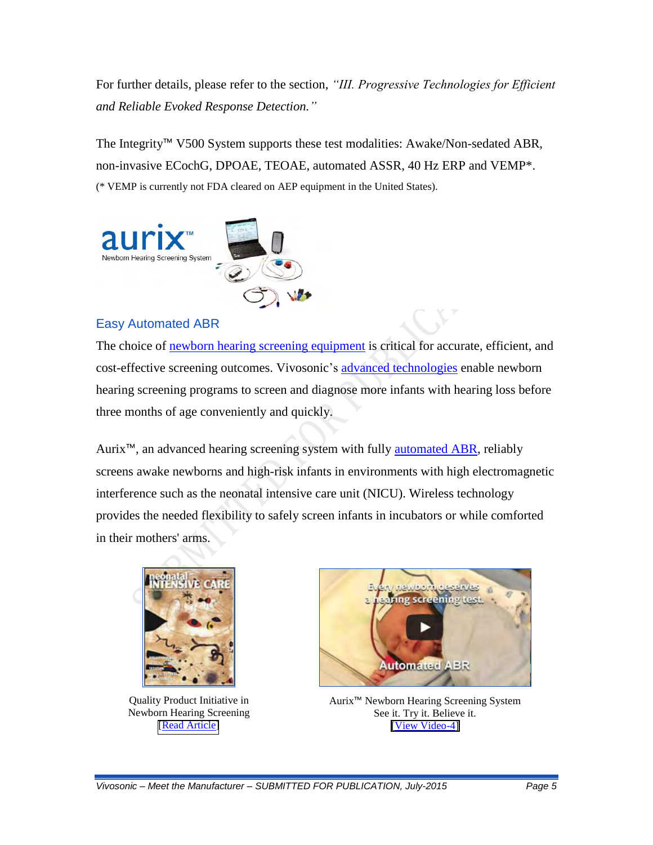For further details, please refer to the section, *"III. Progressive Technologies for Efficient and Reliable Evoked Response Detection."*

The Integrity™ V500 System supports these test modalities: Awake/Non-sedated ABR, non-invasive ECochG, DPOAE, TEOAE, automated ASSR, 40 Hz ERP and VEMP\*. (\* VEMP is currently not FDA cleared on AEP equipment in the United States).



### Easy Automated ABR

The choice of [newborn hearing screening equipment](http://www.vivosonic.com/hearing-screening-products.html) is critical for accurate, efficient, and cost-effective screening outcomes. Vivosonic's [advanced technologies](http://www.vivosonic.com/advanced-technologies.html) enable newborn hearing screening programs to screen and diagnose more infants with hearing loss before three months of age conveniently and quickly.

Aurix<sup>™</sup>, an advanced hearing screening system with fully [automated ABR,](http://www.vivosonic.com/automated-abr.html) reliably screens awake newborns and high-risk infants in environments with high electromagnetic interference such as the neonatal intensive care unit (NICU). Wireless technology provides the needed flexibility to safely screen infants in incubators or while comforted in their mothers' arms.



Quality Product Initiative in Newborn Hearing Screening [\[Read Article\]](https://vivosonic.com/wp-content/uploads/2017/08/2011_Bonilla_Quality-Improvement-Intiative-in-Newborn-Hearing-Screening.pdf)



Aurix™ Newborn Hearing Screening System See it. Try it. Believe it. [\[View Video-4\]](https://youtu.be/HkIzswwi7Ro)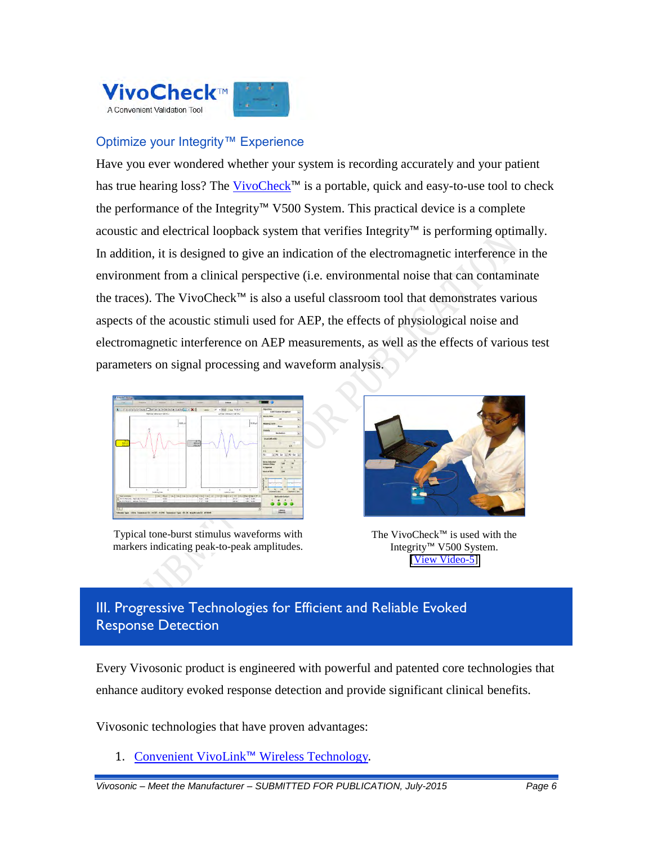

## Optimize your Integrity™ Experience

Have you ever wondered whether your system is recording accurately and your patient has true hearing loss? The [VivoCheck](http://www.vivosonic.com/vivocheck.html)™ is a portable, quick and easy-to-use tool to check the performance of the Integrity™ V500 System. This practical device is a complete acoustic and electrical loopback system that verifies Integrity™ is performing optimally. In addition, it is designed to give an indication of the electromagnetic interference in the environment from a clinical perspective (i.e. environmental noise that can contaminate the traces). The VivoCheck™ is also a useful classroom tool that demonstrates various aspects of the acoustic stimuli used for AEP, the effects of physiological noise and electromagnetic interference on AEP measurements, as well as the effects of various test parameters on signal processing and waveform analysis.



Typical tone-burst stimulus waveforms with markers indicating peak-to-peak amplitudes.



The VivoCheck™ is used with the Integrity™ V500 System. [\[View Video-5\]](https://vivosonic.com/wp-content/uploads/2017/12/Video-5-VivoCheck.mp4)

# III. Progressive Technologies for Efficient and Reliable Evoked Response Detection

Every Vivosonic product is engineered with powerful and patented core technologies that enhance auditory evoked response detection and provide significant clinical benefits.

Vivosonic technologies that have proven advantages:

1. Convenient VivoLink™ [Wireless Technology](http://www.vivosonic.com/wireless-recording.html).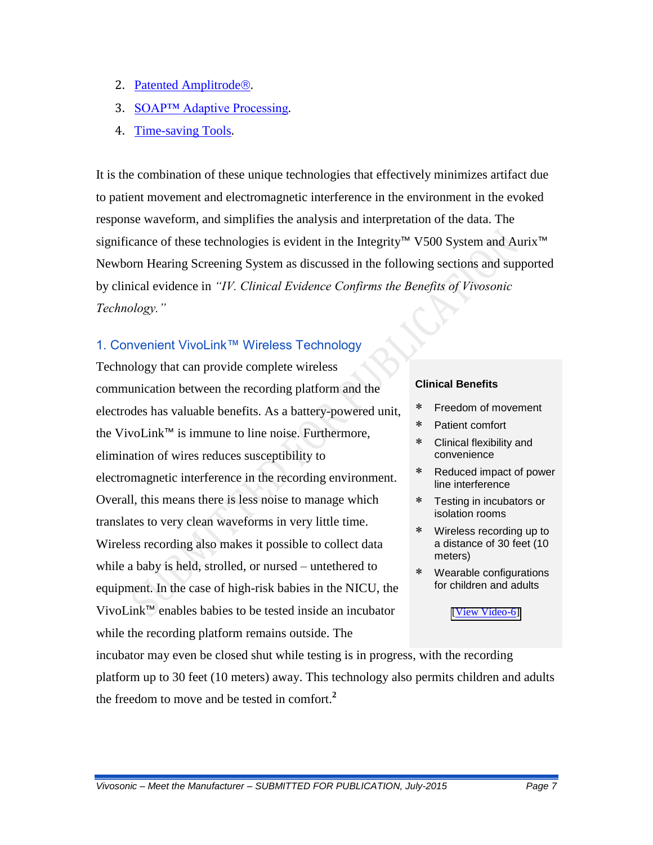- 2. [Patented Amplitrode](http://www.vivosonic.com/amplitrode.html)<sup>®</sup>.
- 3. [SOAP™ Adaptive Processing](http://www.vivosonic.com/soap-adaptive-processing.html).
- 4. [Time-saving Tools](http://www.vivosonic.com/Jay-Hall-eHandbook.html#SectionIII).

It is the combination of these unique technologies that effectively minimizes artifact due to patient movement and electromagnetic interference in the environment in the evoked response waveform, and simplifies the analysis and interpretation of the data. The significance of these technologies is evident in the Integrity™ V500 System and Aurix<sup>™</sup> Newborn Hearing Screening System as discussed in the following sections and supported by clinical evidence in *"IV. Clinical Evidence Confirms the Benefits of Vivosonic Technology."*

### 1. Convenient VivoLink™ Wireless Technology

Technology that can provide complete wireless communication between the recording platform and the electrodes has valuable benefits. As a battery-powered unit, the VivoLink™ is immune to line noise. Furthermore, elimination of wires reduces susceptibility to electromagnetic interference in the recording environment. Overall, this means there is less noise to manage which translates to very clean waveforms in very little time. Wireless recording also makes it possible to collect data while a baby is held, strolled, or nursed – untethered to equipment. In the case of high-risk babies in the NICU, the VivoLink™ enables babies to be tested inside an incubator while the recording platform remains outside. The

#### **Clinical Benefits**

- Freedom of movement
- Patient comfort
- Clinical flexibility and convenience
- Reduced impact of power line interference
- Testing in incubators or isolation rooms
- Wireless recording up to a distance of 30 feet (10 meters)
- Wearable configurations for children and adults

#### [\[View Video-6\]](https://youtu.be/8zJIDIZ_Ocg)

incubator may even be closed shut while testing is in progress, with the recording platform up to 30 feet (10 meters) away. This technology also permits children and adults the freedom to move and be tested in comfort.**<sup>2</sup>**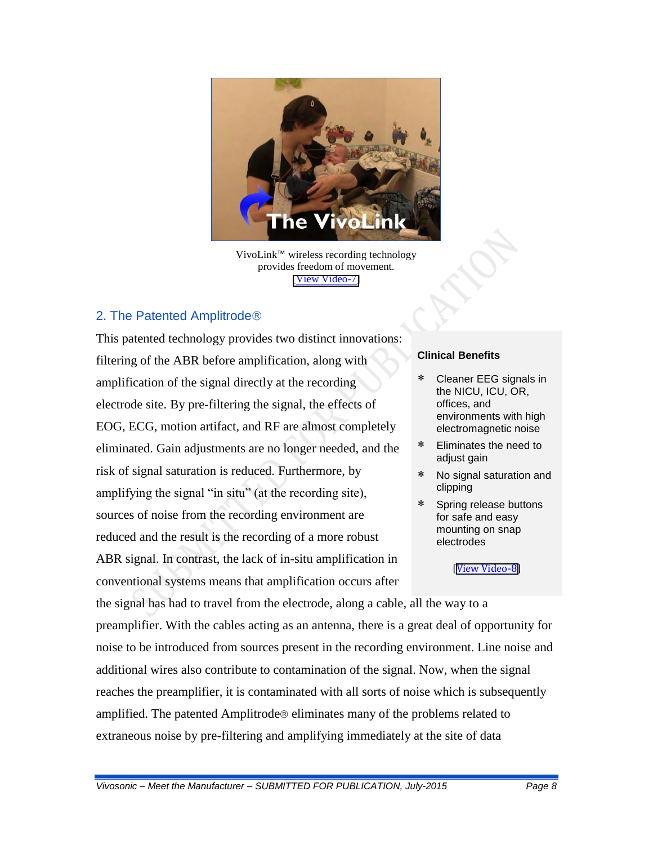

VivoLink™ wireless recording technology provides freedom of movement. [\[View Video-7\]](https://youtu.be/MdMo7_dla9I)

### 2. The Patented Amplitrode

This patented technology provides two distinct innovations: filtering of the ABR before amplification, along with amplification of the signal directly at the recording electrode site. By pre-filtering the signal, the effects of EOG, ECG, motion artifact, and RF are almost completely eliminated. Gain adjustments are no longer needed, and the risk of signal saturation is reduced. Furthermore, by amplifying the signal "in situ" (at the recording site), sources of noise from the recording environment are reduced and the result is the recording of a more robust ABR signal. In contrast, the lack of in-situ amplification in conventional systems means that amplification occurs after

#### **Clinical Benefits**

- Cleaner EEG signals in the NICU, ICU, OR, offices, and environments with high electromagnetic noise
- Eliminates the need to adjust gain
- No signal saturation and clipping
- Spring release buttons for safe and easy mounting on snap electrodes

#### [[View Video-8](https://vivosonic.com/wp-content/uploads/2017/12/Video-8-Amplitrode.mp4)]

the signal has had to travel from the electrode, along a cable, all the way to a preamplifier. With the cables acting as an antenna, there is a great deal of opportunity for noise to be introduced from sources present in the recording environment. Line noise and additional wires also contribute to contamination of the signal. Now, when the signal reaches the preamplifier, it is contaminated with all sorts of noise which is subsequently amplified. The patented Amplitrode<sup>®</sup> eliminates many of the problems related to extraneous noise by pre-filtering and amplifying immediately at the site of data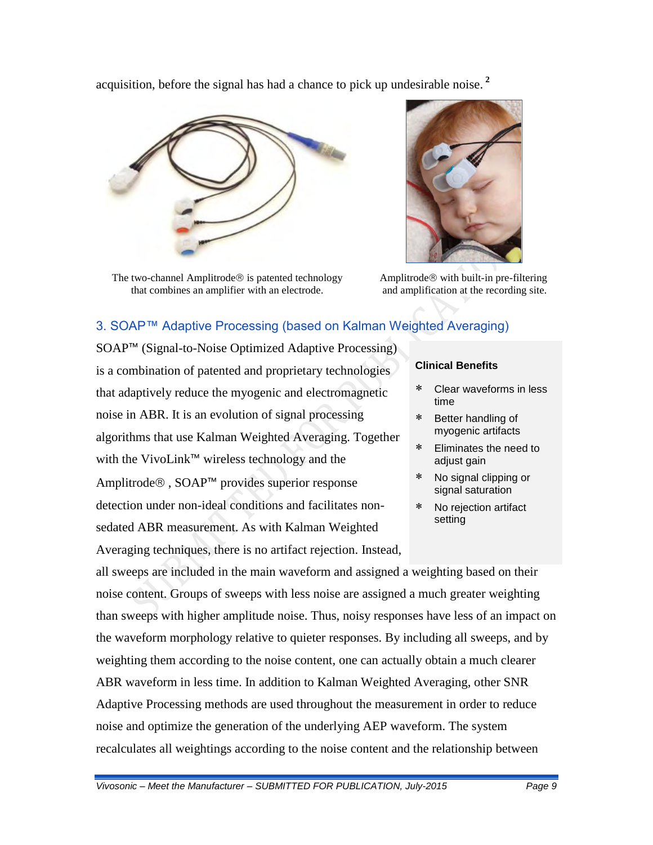acquisition, before the signal has had a chance to pick up undesirable noise. **<sup>2</sup>**



The two-channel Amplitrode $\circledR$  is patented technology that combines an amplifier with an electrode.



Amplitrode $\circledR$  with built-in pre-filtering and amplification at the recording site.

# 3. SOAP™ Adaptive Processing (based on Kalman Weighted Averaging)

SOAP™ (Signal-to-Noise Optimized Adaptive Processing) is a combination of patented and proprietary technologies that adaptively reduce the myogenic and electromagnetic noise in ABR. It is an evolution of signal processing algorithms that use Kalman Weighted Averaging. Together with the VivoLink™ wireless technology and the Amplitrode®, SOAP™ provides superior response detection under non-ideal conditions and facilitates nonsedated ABR measurement. As with Kalman Weighted Averaging techniques, there is no artifact rejection. Instead,

### **Clinical Benefits**

- Clear waveforms in less time
- \* Better handling of myogenic artifacts
- Eliminates the need to adjust gain
- No signal clipping or signal saturation
- No rejection artifact setting

all sweeps are included in the main waveform and assigned a weighting based on their noise content. Groups of sweeps with less noise are assigned a much greater weighting than sweeps with higher amplitude noise. Thus, noisy responses have less of an impact on the waveform morphology relative to quieter responses. By including all sweeps, and by weighting them according to the noise content, one can actually obtain a much clearer ABR waveform in less time. In addition to Kalman Weighted Averaging, other SNR Adaptive Processing methods are used throughout the measurement in order to reduce noise and optimize the generation of the underlying AEP waveform. The system recalculates all weightings according to the noise content and the relationship between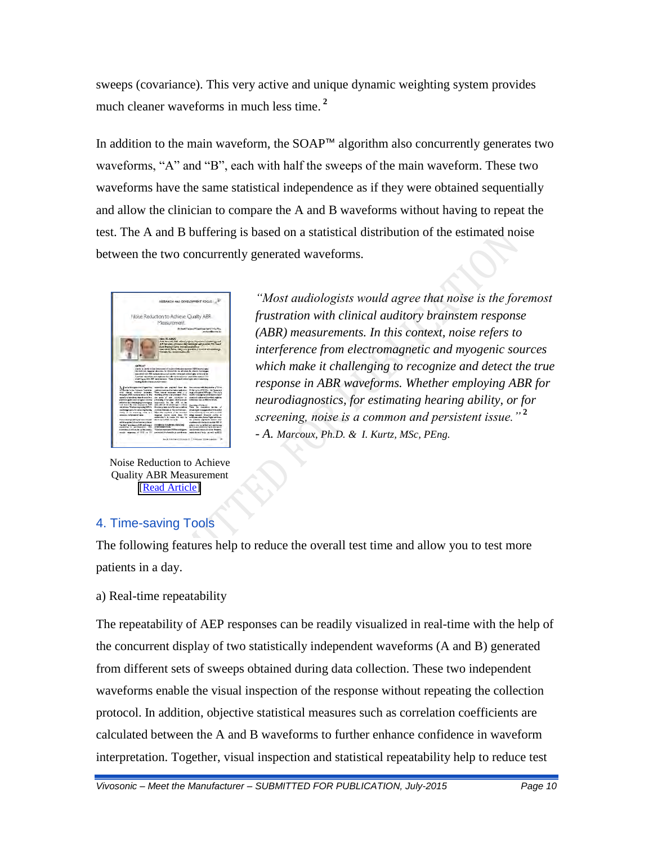sweeps (covariance). This very active and unique dynamic weighting system provides much cleaner waveforms in much less time. **<sup>2</sup>**

In addition to the main waveform, the SOAP™ algorithm also concurrently generates two waveforms, "A" and "B", each with half the sweeps of the main waveform. These two waveforms have the same statistical independence as if they were obtained sequentially and allow the clinician to compare the A and B waveforms without having to repeat the test. The A and B buffering is based on a statistical distribution of the estimated noise between the two concurrently generated waveforms.



Noise Reduction to Achieve Quality ABR Measurement [\[Read Article\]](https://vivosonic.com/wp-content/uploads/2017/08/2013_Marcoux-Kurtz_Noise-Reduction-to-Achieve-Quality-ABR-Measurement.pdf)

*"Most audiologists would agree that noise is the foremost frustration with clinical auditory brainstem response (ABR) measurements. In this context, noise refers to interference from electromagnetic and myogenic sources which make it challenging to recognize and detect the true response in ABR waveforms. Whether employing ABR for neurodiagnostics, for estimating hearing ability, or for screening, noise is a common and persistent issue."* **<sup>2</sup>**  *- A. Marcoux, Ph.D. & I. Kurtz, MSc, PEng.*

## 4. Time-saving Tools

The following features help to reduce the overall test time and allow you to test more patients in a day.

### a) Real-time repeatability

The repeatability of AEP responses can be readily visualized in real-time with the help of the concurrent display of two statistically independent waveforms (A and B) generated from different sets of sweeps obtained during data collection. These two independent waveforms enable the visual inspection of the response without repeating the collection protocol. In addition, objective statistical measures such as correlation coefficients are calculated between the A and B waveforms to further enhance confidence in waveform interpretation. Together, visual inspection and statistical repeatability help to reduce test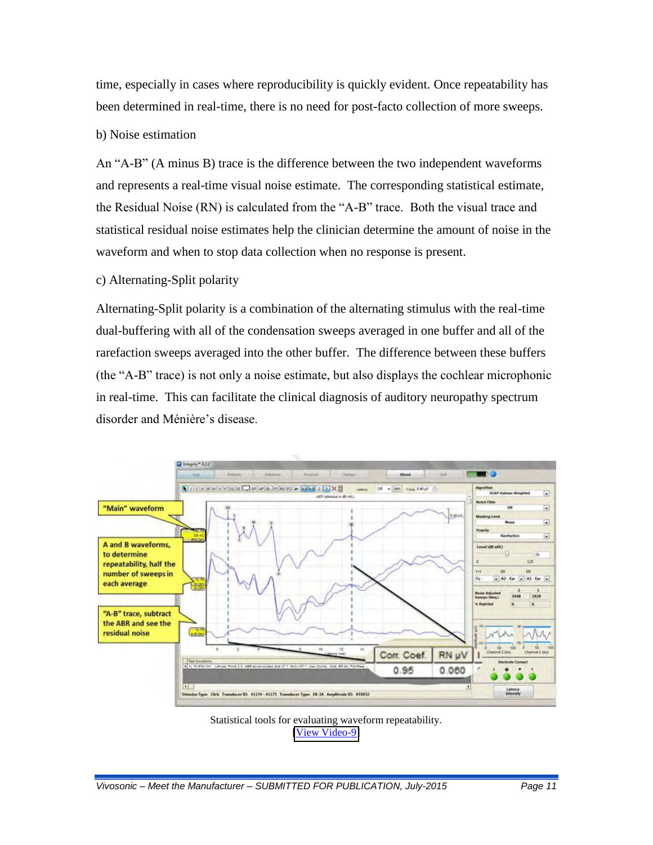time, especially in cases where reproducibility is quickly evident. Once repeatability has been determined in real-time, there is no need for post-facto collection of more sweeps.

### b) Noise estimation

An "A-B" (A minus B) trace is the difference between the two independent waveforms and represents a real-time visual noise estimate. The corresponding statistical estimate, the Residual Noise (RN) is calculated from the "A-B" trace. Both the visual trace and statistical residual noise estimates help the clinician determine the amount of noise in the waveform and when to stop data collection when no response is present.

### c) Alternating-Split polarity

Alternating-Split polarity is a combination of the alternating stimulus with the real-time dual-buffering with all of the condensation sweeps averaged in one buffer and all of the rarefaction sweeps averaged into the other buffer. The difference between these buffers (the "A-B" trace) is not only a noise estimate, but also displays the cochlear microphonic in real-time. This can facilitate the clinical diagnosis of auditory neuropathy spectrum disorder and Ménière's disease.



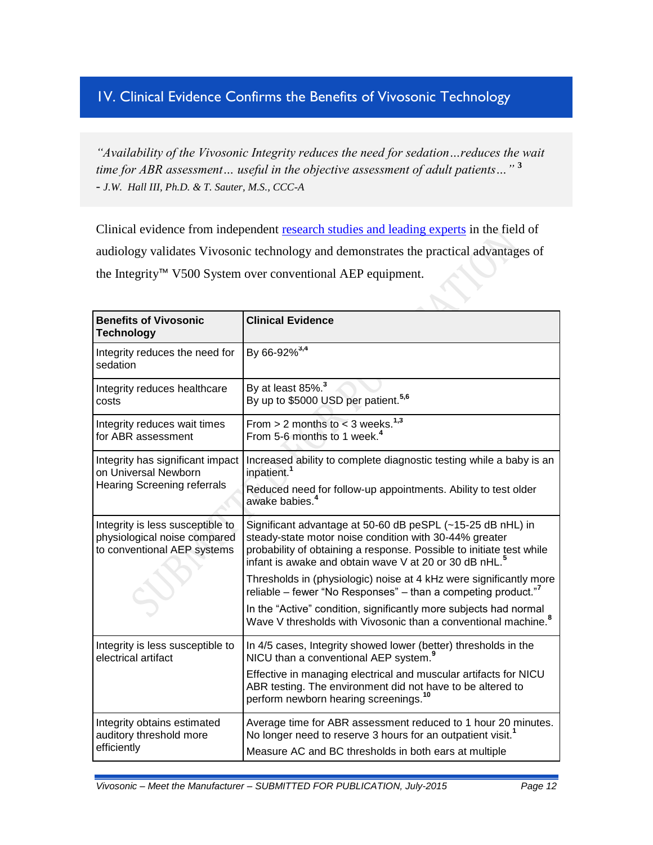# 1V. Clinical Evidence Confirms the Benefits of Vivosonic Technology

*"Availability of the Vivosonic Integrity reduces the need for sedation…reduces the wait time for ABR assessment… useful in the objective assessment of adult patients…"* **<sup>3</sup>** *- J.W. Hall III, Ph.D. & T. Sauter, M.S., CCC-A*

Clinical evidence from independent [research studies and leading experts](http://www.vivosonic.com/articles-technology.html) in the field of audiology validates Vivosonic technology and demonstrates the practical advantages of the Integrity™ V500 System over conventional AEP equipment.

| <b>Benefits of Vivosonic</b><br><b>Technology</b>                                               | <b>Clinical Evidence</b>                                                                                                                                                                                                                                           |
|-------------------------------------------------------------------------------------------------|--------------------------------------------------------------------------------------------------------------------------------------------------------------------------------------------------------------------------------------------------------------------|
| Integrity reduces the need for<br>sedation                                                      | By 66-92% <sup>3,4</sup>                                                                                                                                                                                                                                           |
| Integrity reduces healthcare<br>costs                                                           | By at least 85%. <sup>3</sup><br>By up to \$5000 USD per patient. <sup>5,6</sup>                                                                                                                                                                                   |
| Integrity reduces wait times<br>for ABR assessment                                              | From $> 2$ months to $<$ 3 weeks. <sup>1,3</sup><br>From 5-6 months to 1 week. <sup>4</sup>                                                                                                                                                                        |
| Integrity has significant impact<br>on Universal Newborn                                        | Increased ability to complete diagnostic testing while a baby is an<br>inpatient. <sup>1</sup>                                                                                                                                                                     |
| <b>Hearing Screening referrals</b>                                                              | Reduced need for follow-up appointments. Ability to test older<br>awake babies. <sup>4</sup>                                                                                                                                                                       |
| Integrity is less susceptible to<br>physiological noise compared<br>to conventional AEP systems | Significant advantage at 50-60 dB peSPL (~15-25 dB nHL) in<br>steady-state motor noise condition with 30-44% greater<br>probability of obtaining a response. Possible to initiate test while<br>infant is awake and obtain wave V at 20 or 30 dB nHL. <sup>5</sup> |
|                                                                                                 | Thresholds in (physiologic) noise at 4 kHz were significantly more<br>reliable – fewer "No Responses" – than a competing product." <sup>7</sup>                                                                                                                    |
|                                                                                                 | In the "Active" condition, significantly more subjects had normal<br>Wave V thresholds with Vivosonic than a conventional machine. <sup>8</sup>                                                                                                                    |
| Integrity is less susceptible to<br>electrical artifact                                         | In 4/5 cases, Integrity showed lower (better) thresholds in the<br>NICU than a conventional AEP system. <sup>9</sup>                                                                                                                                               |
|                                                                                                 | Effective in managing electrical and muscular artifacts for NICU<br>ABR testing. The environment did not have to be altered to<br>perform newborn hearing screenings. <sup>10</sup>                                                                                |
| Integrity obtains estimated<br>auditory threshold more<br>efficiently                           | Average time for ABR assessment reduced to 1 hour 20 minutes.<br>No longer need to reserve 3 hours for an outpatient visit. <sup>1</sup><br>Measure AC and BC thresholds in both ears at multiple                                                                  |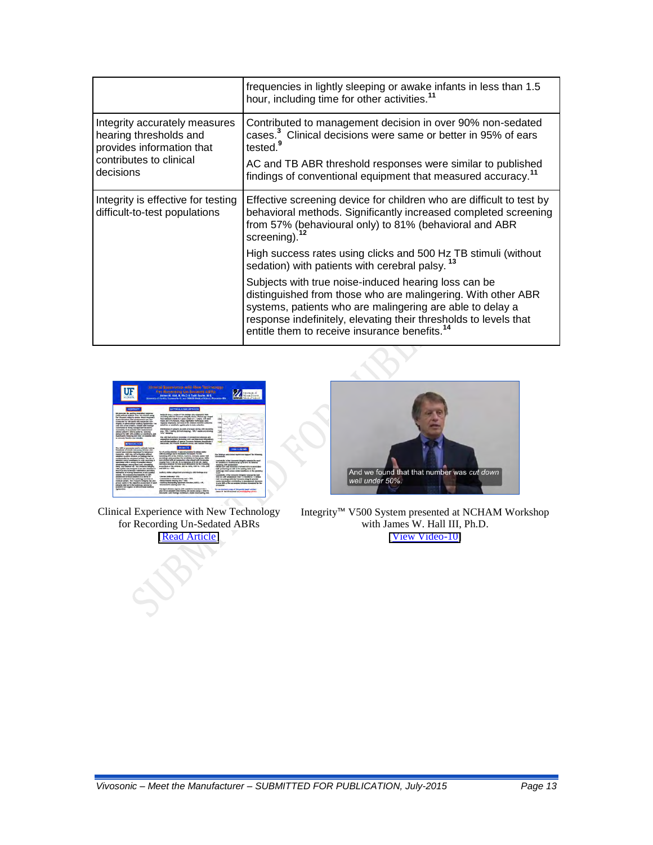|                                                                                                                              | frequencies in lightly sleeping or awake infants in less than 1.5<br>hour, including time for other activities. <sup>11</sup>                                                                                                                                                                                      |
|------------------------------------------------------------------------------------------------------------------------------|--------------------------------------------------------------------------------------------------------------------------------------------------------------------------------------------------------------------------------------------------------------------------------------------------------------------|
| Integrity accurately measures<br>hearing thresholds and<br>provides information that<br>contributes to clinical<br>decisions | Contributed to management decision in over 90% non-sedated<br>cases. <sup>3</sup> Clinical decisions were same or better in 95% of ears<br>tested. <sup>9</sup>                                                                                                                                                    |
|                                                                                                                              | AC and TB ABR threshold responses were similar to published<br>findings of conventional equipment that measured accuracy. <sup>11</sup>                                                                                                                                                                            |
| Integrity is effective for testing<br>difficult-to-test populations                                                          | Effective screening device for children who are difficult to test by<br>behavioral methods. Significantly increased completed screening<br>from 57% (behavioural only) to 81% (behavioral and ABR<br>screening). $12$                                                                                              |
|                                                                                                                              | High success rates using clicks and 500 Hz TB stimuli (without<br>sedation) with patients with cerebral palsy. <sup>13</sup>                                                                                                                                                                                       |
|                                                                                                                              | Subjects with true noise-induced hearing loss can be<br>distinguished from those who are malingering. With other ABR<br>systems, patients who are malingering are able to delay a<br>response indefinitely, elevating their thresholds to levels that<br>entitle them to receive insurance benefits. <sup>14</sup> |



Clinical Experience with New Technology for Recording Un-Sedated ABRs [\[Read Article\]](https://vivosonic.com/wp-content/uploads/2017/08/2010_Hall-Sauter_Clinical-Experience-with-New-Technology-For-Recording-Un-Sedated-ABRs.pdf)



Integrity™ V500 System presented at NCHAM Workshop with James W. Hall III, Ph.D. [\[View Video-10\]](https://vivosonic.com/wp-content/uploads/2017/12/Video-10-Research-Findings.mp4)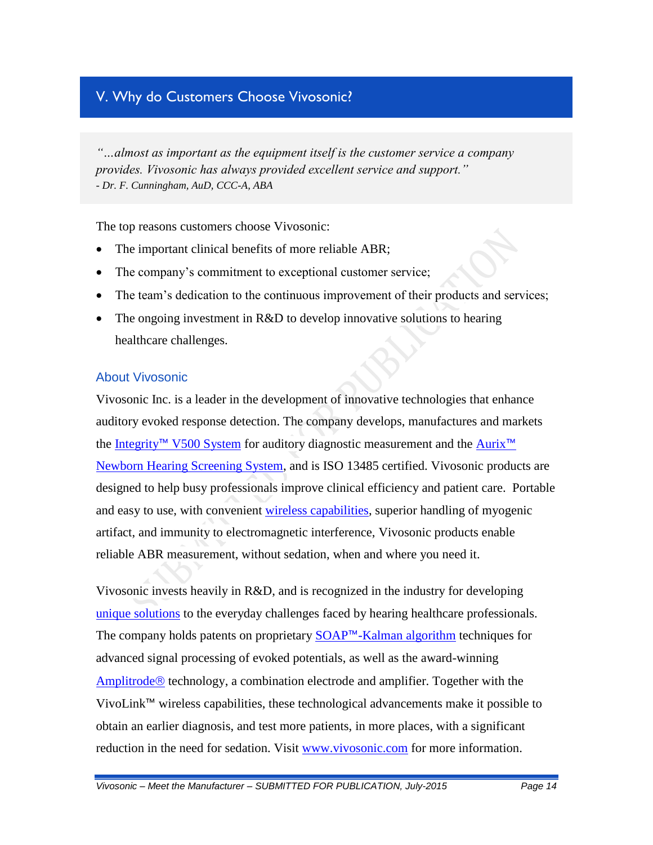# V. Why do Customers Choose Vivosonic?

*"…almost as important as the equipment itself is the customer service a company provides. Vivosonic has always provided excellent service and support." - Dr. F. Cunningham, AuD, CCC-A, ABA*

The top reasons customers choose Vivosonic:

- The important clinical benefits of more reliable ABR;
- The company's commitment to exceptional customer service;
- The team's dedication to the continuous improvement of their products and services;
- The ongoing investment in R&D to develop innovative solutions to hearing healthcare challenges.

### About Vivosonic

Vivosonic Inc. is a leader in the development of innovative technologies that enhance auditory evoked response detection. The company develops, manufactures and markets the Integrity™ [V500 System](http://www.vivosonic.com/auditory-diagnostic-products.html) for auditory diagnostic measurement and the [Aurix](http://www.vivosonic.com/hearing-screening-products.html)<sup>™</sup> [Newborn Hearing Screening System,](http://www.vivosonic.com/hearing-screening-products.html) and is ISO 13485 certified. Vivosonic products are designed to help busy professionals improve clinical efficiency and patient care. Portable and easy to use, with convenient [wireless capabilities,](http://www.vivosonic.com/wireless-recording.html) superior handling of myogenic artifact, and immunity to electromagnetic interference, Vivosonic products enable reliable ABR measurement, without sedation, when and where you need it.

Vivosonic invests heavily in R&D, and is recognized in the industry for developing [unique solutions](http://www.vivosonic.com/advanced-technologies.html) to the everyday challenges faced by hearing healthcare professionals. The company holds patents on proprietary SOAP™[-Kalman algorithm](http://www.vivosonic.com/soap-adaptive-processing.html) techniques for advanced signal processing of evoked potentials, as well as the award-winning [Amplitrode](http://www.vivosonic.com/amplitrode.html)<sup> $\circledR$ </sup> technology, a combination electrode and amplifier. Together with the VivoLink™ wireless capabilities, these technological advancements make it possible to obtain an earlier diagnosis, and test more patients, in more places, with a significant reduction in the need for sedation. Visit [www.vivosonic.com](http://www.vivosonic.com/) for more information.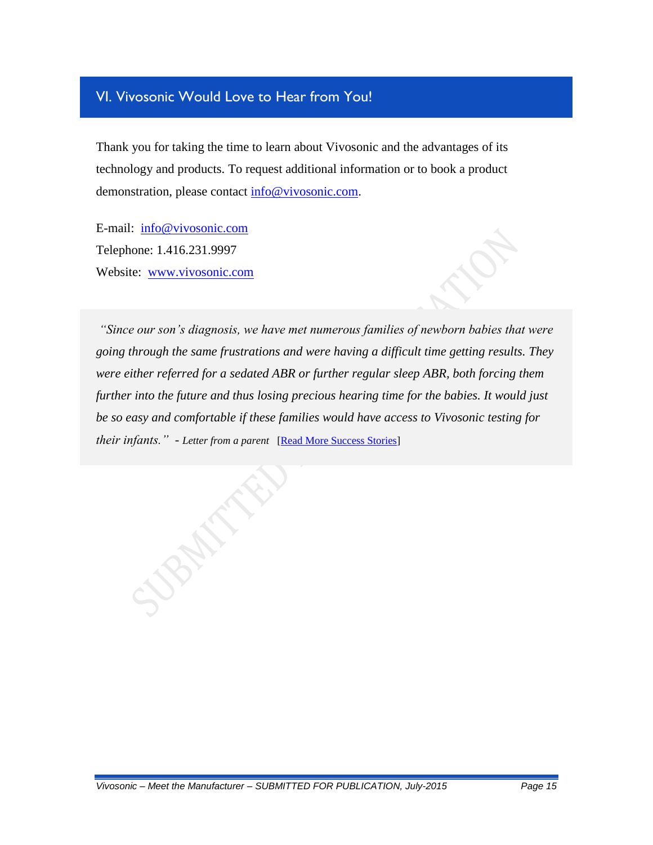## VI. Vivosonic Would Love to Hear from You!

Thank you for taking the time to learn about Vivosonic and the advantages of its technology and products. To request additional information or to book a product demonstration, please contact [info@vivosonic.com.](mailto:info@vivosonic.com?subject=Vivosonic%20in%20Jay%20Hall)

E-mail: [info@vivosonic.com](mailto:info@vivosonic.com?subject=Vivosonic%20in%20Jay%20Hall) Telephone: 1.416.231.9997 Website: [www.vivosonic.com](http://www.vivosonic.com/)

*"Since our son's diagnosis, we have met numerous families of newborn babies that were going through the same frustrations and were having a difficult time getting results. They were either referred for a sedated ABR or further regular sleep ABR, both forcing them further into the future and thus losing precious hearing time for the babies. It would just be so easy and comfortable if these families would have access to Vivosonic testing for their infants." - Letter from a parent* [\[Read More Success Stories\]](http://www.vivosonic.com/success-stories.html)